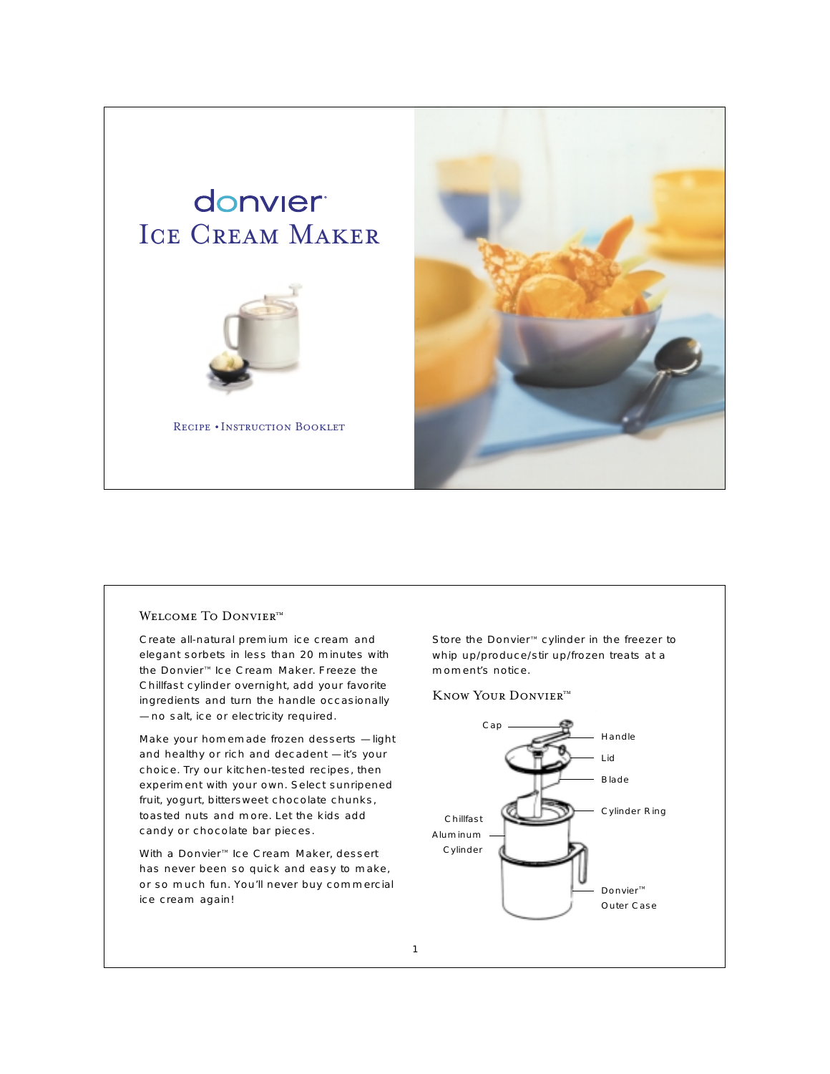

# WELCOME TO DONVIER<sup>TM</sup>

Create all-natural premium ice cream and elegant sorbets in less than 20 minutes with the Donvier<sup>™</sup> Ice Cream Maker. Freeze the Chillfast cylinder overnight, add your favorite ingredients and turn the handle occasionally — no salt, ice or electricity required.

Make your homemade frozen desserts — light and healthy or rich and decadent — it's your choice. Try our kitchen-tested recipes, then experiment with your own. Select sunripened fruit, yogurt, bittersweet chocolate chunks, toasted nuts and more. Let the kids add candy or chocolate bar pieces.

With a Donvier<sup>™</sup> Ice Cream Maker, dessert has never been so quick and easy to make, or so much fun. You'll never buy commercial ice cream again!

Store the Donvier<sup>™</sup> cylinder in the freezer to whip up/produce/stir up/frozen treats at a moment's notice.

KNOW YOUR DONVIERTM

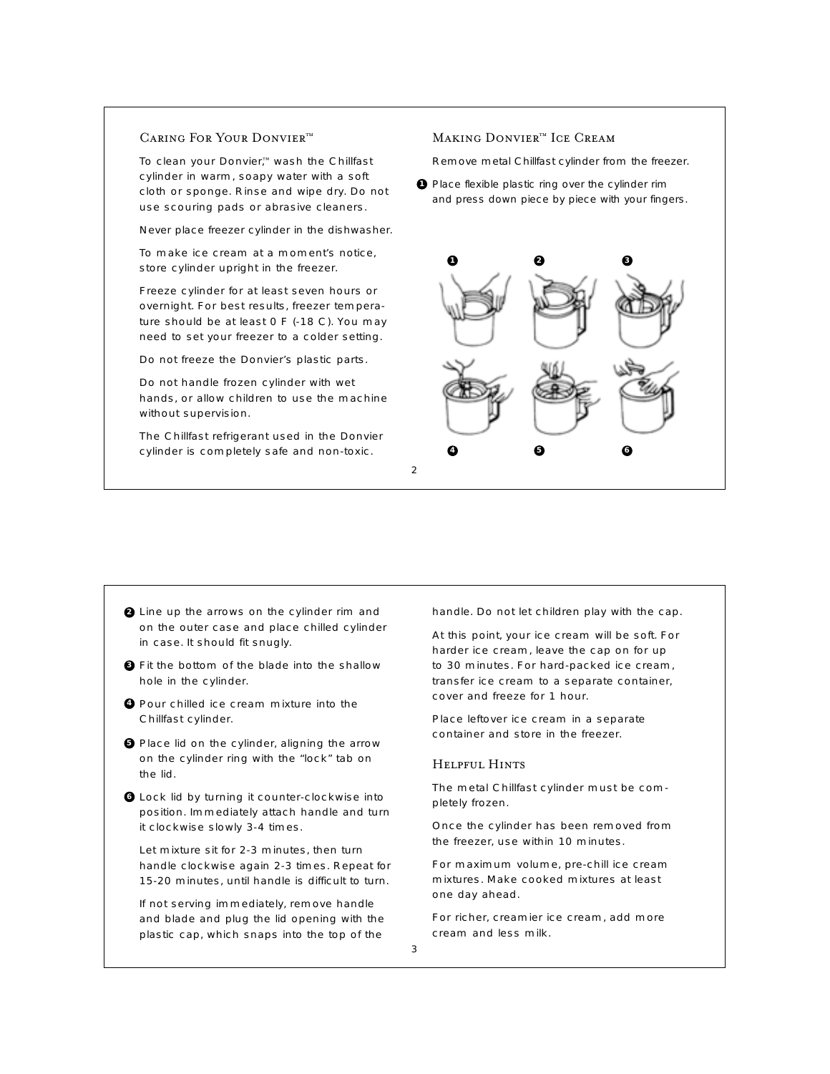# CARING FOR YOUR DONVIERTM

To clean your Donvier,™ wash the Chillfast cylinder in warm, soapy water with a soft cloth or sponge. Rinse and wipe dry. Do not use scouring pads or abrasive cleaners.

Never place freezer cylinder in the dishwasher.

To make ice cream at a moment's notice, store cylinder upright in the freezer.

Freeze cylinder for at least seven hours or overnight. For best results, freezer temperature should be at least 0 F (-18 C). You may need to set your freezer to a colder setting.

Do not freeze the Donvier's plastic parts.

Do not handle frozen cylinder with wet hands, or allow children to use the machine without supervision.

The Chillfast refrigerant used in the Donvier cylinder is completely safe and non-toxic.

#### $\mathfrak{D}$

### MAKING DONVIER™ ICE CREAM

Remove metal Chillfast cylinder from the freezer.

**1** Place flexible plastic ring over the cylinder rim and press down piece by piece with your fingers.



- **2** Line up the arrows on the cylinder rim and on the outer case and place chilled cylinder in case. It should fit snugly.
- Fit the bottom of the blade into the shallow **3** hole in the cylinder.
- Pour chilled ice cream mixture into the **4**Chillfast cylinder.
- **5** Place lid on the cylinder, aligning the arrow on the cylinder ring with the "lock" tab on the lid.
- **6** Lock lid by turning it counter-clockwise into position. Immediately attach handle and turn it clockwise slowly 3-4 times.

Let mixture sit for 2-3 minutes, then turn handle clockwise again 2-3 times. Repeat for 15-20 minutes, until handle is difficult to turn.

If not serving immediately, remove handle and blade and plug the lid opening with the plastic cap, which snaps into the top of the

handle. Do not let children play with the cap.

At this point, your ice cream will be soft. For harder ice cream, leave the cap on for up to 30 minutes. For hard-packed ice cream, transfer ice cream to a separate container, cover and freeze for 1 hour.

Place leftover ice cream in a separate container and store in the freezer.

### Helpful Hints

The metal Chillfast cylinder must be completely frozen.

Once the cylinder has been removed from the freezer, use within 10 minutes.

For maximum volume, pre-chill ice cream mixtures. Make cooked mixtures at least one day ahead.

For richer, creamier ice cream, add more cream and less milk.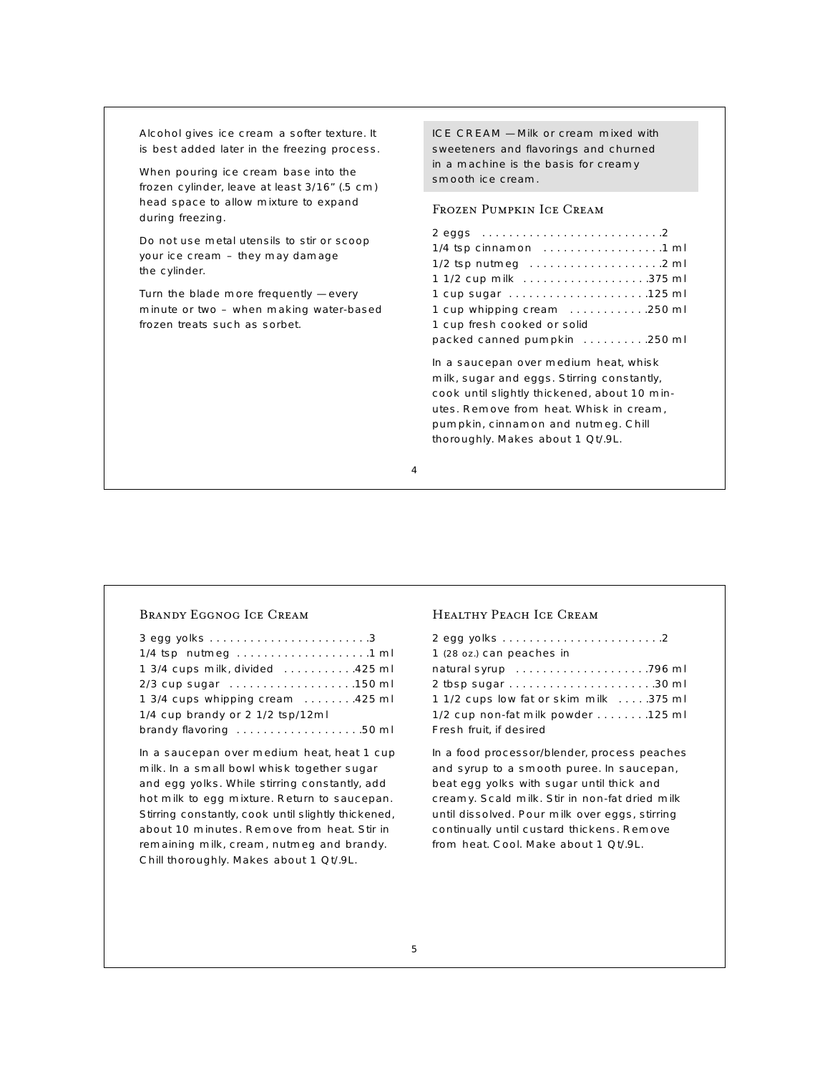Alcohol gives ice cream a softer texture. It is best added later in the freezing process.

When pouring ice cream base into the frozen cylinder, leave at least 3/16" (.5 cm) head space to allow mixture to expand during freezing.

Do not use metal utensils to stir or scoop your ice cream – they may damage the cylinder.

Turn the blade more frequently — every minute or two – when making water-based frozen treats such as sorbet.

ICE CREAM — Milk or cream mixed with sweeteners and flavorings and churned in a machine is the basis for creamy smooth ice cream.

# Frozen Pumpkin Ice Cream

| 1 cup whipping cream 250 ml           |
|---------------------------------------|
| 1 cup fresh cooked or solid           |
| packed canned pumpkin 250 ml          |
| In a saucepan over medium heat, whisk |

milk, sugar and eggs. Stirring constantly, cook until slightly thickened, about 10 minutes. Remove from heat. Whisk in cream, pumpkin, cinnamon and nutmeg. Chill thoroughly. Makes about 1 Qt/.9L.

### 4

### Brandy Eggnog Ice Cream

| 1/4 tsp nutmeg 1 ml              |
|----------------------------------|
| 1 3/4 cups milk, divided 425 ml  |
|                                  |
| 1 3/4 cups whipping cream 425 ml |
| 1/4 cup brandy or 2 1/2 tsp/12ml |
| brandy flavoring 50 ml           |

In a saucepan over medium heat, heat 1 cup milk. In a small bowl whisk together sugar and egg yolks. While stirring constantly, add hot milk to egg mixture. Return to saucepan. Stirring constantly, cook until slightly thickened, about 10 minutes. Remove from heat. Stir in remaining milk, cream, nutmeg and brandy. Chill thoroughly. Makes about 1 Qt/.9L.

### Healthy Peach Ice Cream

| 1 (28 oz.) can peaches in              |
|----------------------------------------|
|                                        |
|                                        |
| 1 1/2 cups low fat or skim milk 375 ml |
| 1/2 cup non-fat milk powder 125 ml     |
| Fresh fruit, if desired                |

In a food processor/blender, process peaches and syrup to a smooth puree. In saucepan, beat egg yolks with sugar until thick and creamy. Scald milk. Stir in non-fat dried milk until dissolved. Pour milk over eggs, stirring continually until custard thickens. Remove from heat. Cool. Make about 1 Qt/.9L.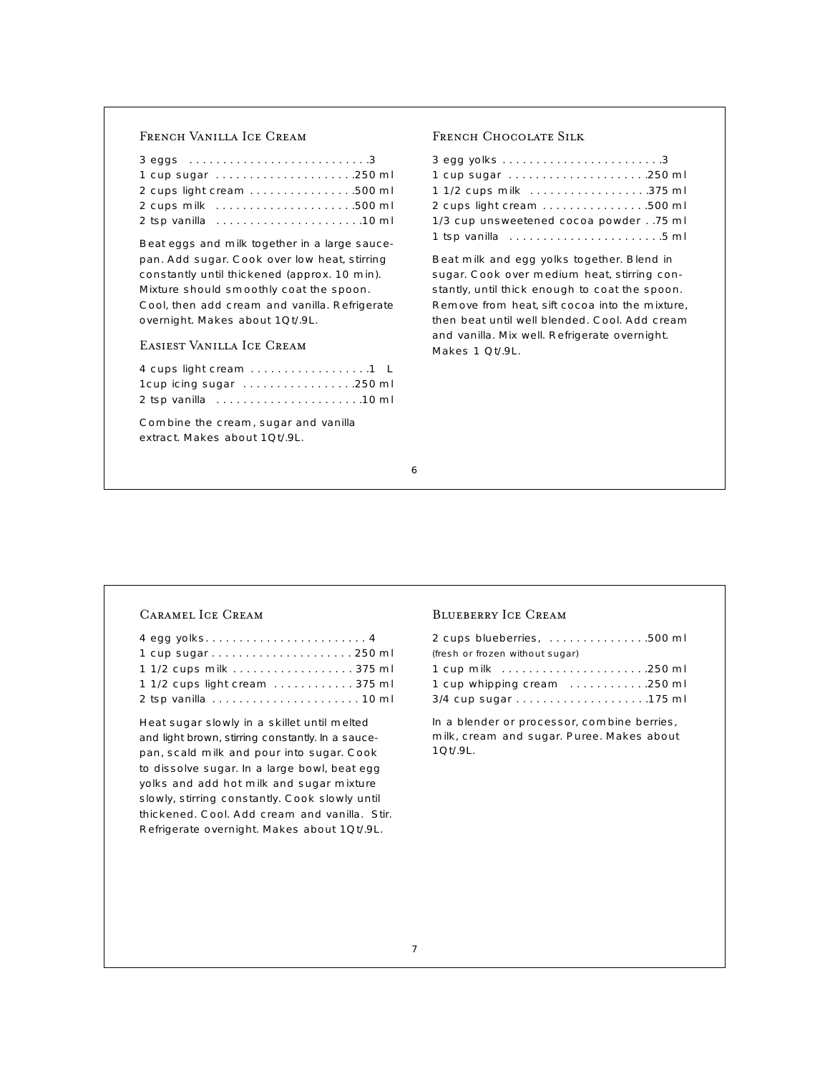# French Vanilla Ice Cream

| 2 cups light cream 500 ml |  |
|---------------------------|--|
| 2 cups milk 500 ml        |  |
|                           |  |

Beat eggs and milk together in a large saucepan. Add sugar. Cook over low heat, stirring constantly until thickened (approx. 10 min). Mixture should smoothly coat the spoon. Cool, then add cream and vanilla. Refrigerate overnight. Makes about 1Qt/.9L.

# Easiest Vanilla Ice Cream

Combine the cream, sugar and vanilla extract. Makes about 1Qt/.9L.

### French Chocolate Silk

| 1 cup sugar 250 ml                      |  |
|-----------------------------------------|--|
| 1 1/2 cups milk 375 ml                  |  |
| 2 cups light cream 500 ml               |  |
| 1/3 cup unsweetened cocoa powder75 ml   |  |
| 1 tsp vanilla www.www.www.www.usu.nd ml |  |

Beat milk and egg yolks together. Blend in sugar. Cook over medium heat, stirring constantly, until thick enough to coat the spoon. Remove from heat, sift cocoa into the mixture, then beat until well blended. Cool. Add cream and vanilla. Mix well. Refrigerate overnight. Makes 1 Qt/.9L.

### Caramel Ice Cream

| 1 1/2 cups milk 375 ml         |  |
|--------------------------------|--|
| 1 1/2 cups light cream  375 ml |  |
|                                |  |

Heat sugar slowly in a skillet until melted and light brown, stirring constantly. In a saucepan, scald milk and pour into sugar. Cook to dissolve sugar. In a large bowl, beat egg yolks and add hot milk and sugar mixture slowly, stirring constantly. Cook slowly until thickened. Cool. Add cream and vanilla. Stir. Refrigerate overnight. Makes about 1Qt/.9L.

#### Blueberry Ice Cream

| 2 cups blueberries, 500 ml      |  |
|---------------------------------|--|
| (fresh or frozen without sugar) |  |
|                                 |  |
| 1 cup whipping cream 250 ml     |  |
| 3/4 cup sugar 175 ml            |  |
|                                 |  |

In a blender or processor, combine berries, milk, cream and sugar. Puree. Makes about 1Qt/.9L.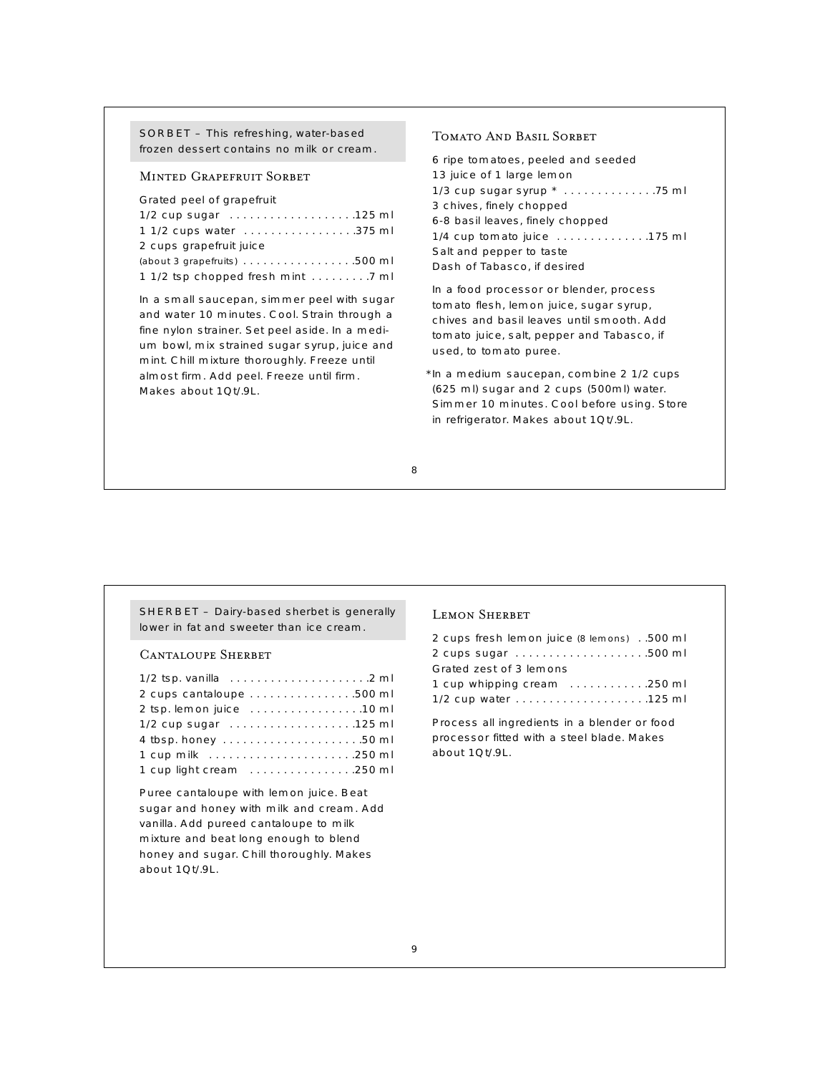### SORBET – This refreshing, water-based frozen dessert contains no milk or cream.

### Minted Grapefruit Sorbet

### Grated peel of grapefruit

| 1/2 cup sugar 125 ml                                                     |  |
|--------------------------------------------------------------------------|--|
| 1 1/2 cups water 375 ml                                                  |  |
| 2 cups grapefruit juice                                                  |  |
| (about 3 grapefruits) $\ldots \ldots \ldots \ldots \ldots \ldots 500$ ml |  |
|                                                                          |  |

In a small saucepan, simmer peel with sugar and water 10 minutes. Cool. Strain through a fine nylon strainer. Set peel aside. In a medium bowl, mix strained sugar syrup, juice and mint. Chill mixture thoroughly. Freeze until almost firm. Add peel. Freeze until firm. Makes about 1Qt/.9L.

## Tomato And Basil Sorbet

6 ripe tomatoes, peeled and seeded 13 juice of 1 large lemon 1/3 cup sugar syrup \* . . . . . . . . . . . . . .75 ml 3 chives, finely chopped 6-8 basil leaves, finely chopped 1/4 cup tomato juice . . . . . . . . . . . . . .175 ml Salt and pepper to taste Dash of Tabasco, if desired

In a food processor or blender, process tomato flesh, lemon juice, sugar syrup, chives and basil leaves until smooth. Add tomato juice, salt, pepper and Tabasco, if used, to tomato puree.

\* In a medium saucepan, combine 2 1/2 cups (625 ml) sugar and 2 cups (500ml) water. Simmer 10 minutes. Cool before using. Store in refrigerator. Makes about 1Qt/.9L.

8

SHERBET – Dairy-based sherbet is generally lower in fat and sweeter than ice cream.

### Cantaloupe Sherbet

| 1/2 tsp. vanilla $\ldots \ldots \ldots \ldots \ldots \ldots \ldots \ldots$ |
|----------------------------------------------------------------------------|
| 2 cups cantaloupe 500 ml                                                   |
|                                                                            |
| 1/2 cup sugar 125 ml                                                       |
|                                                                            |
|                                                                            |
| 1 cup light cream 250 ml                                                   |

Puree cantaloupe with lemon juice. Beat sugar and honey with milk and cream. Add vanilla. Add pureed cantaloupe to milk mixture and beat long enough to blend honey and sugar. Chill thoroughly. Makes about 1Qt/.9L.

### LEMON SHERBET

| 2 cups fresh lemon juice (8 lemons) 500 ml |  |
|--------------------------------------------|--|
| 2 cups sugar 500 ml                        |  |
| Grated zest of 3 lemons                    |  |
| 1 cup whipping cream 250 ml                |  |
|                                            |  |

Process all ingredients in a blender or food processor fitted with a steel blade. Makes about 1Qt/.9L.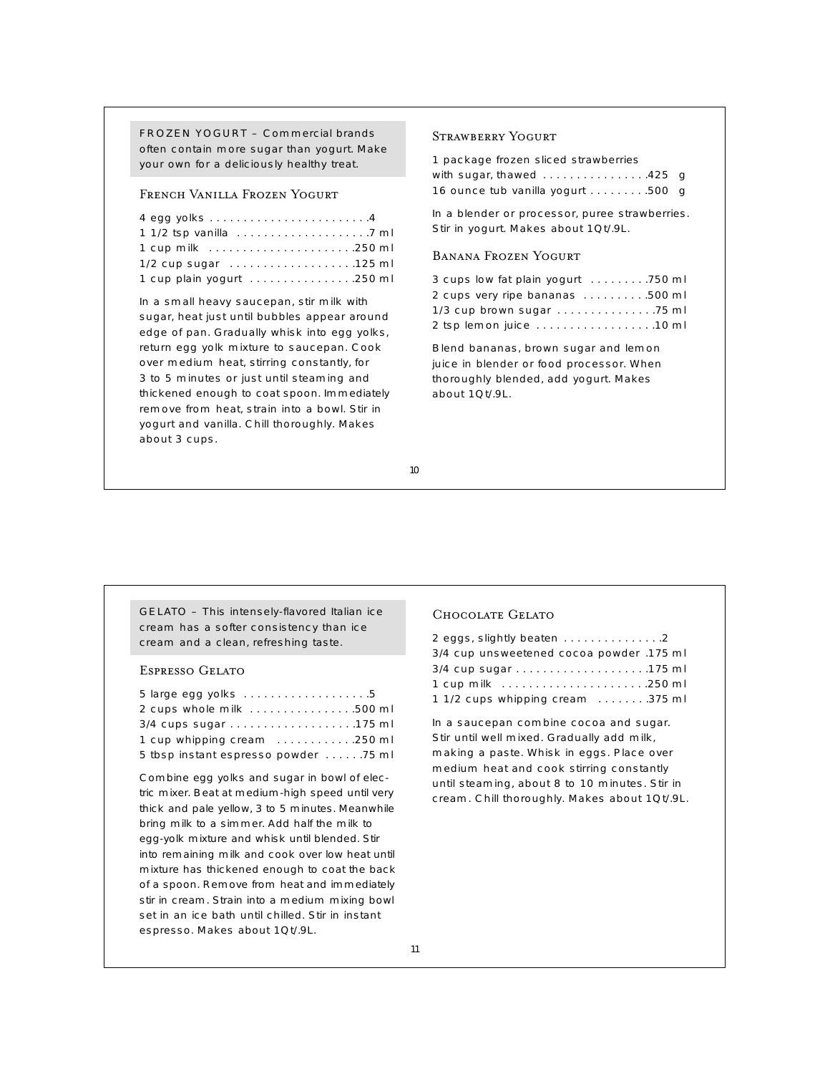FROZEN YOGURT – Commercial brands often contain more sugar than yogurt. Make your own for a deliciously healthy treat.

# French Vanilla Frozen Yogurt

| 1/2 cup sugar 125 ml      |  |
|---------------------------|--|
| 1 cup plain yogurt 250 ml |  |

In a small heavy saucepan, stir milk with sugar, heat just until bubbles appear around edge of pan. Gradually whisk into egg yolks, return egg yolk mixture to saucepan. Cook over medium heat, stirring constantly, for 3 to 5 minutes or just until steaming and thickened enough to coat spoon. Immediately remove from heat, strain into a bowl. Stir in yogurt and vanilla. Chill thoroughly. Makes about 3 cups.

#### Strawberry Yogurt

| 1 package frozen sliced strawberries |  |
|--------------------------------------|--|
| with sugar, thawed 425 g             |  |
| 16 ounce tub vanilla yogurt 500 g    |  |

In a blender or processor, puree strawberries. Stir in yogurt. Makes about 1Qt/.9L.

# Banana Frozen Yogurt

| 3 cups low fat plain yogurt 750 ml                                 |  |
|--------------------------------------------------------------------|--|
| 2 cups very ripe bananas 500 ml                                    |  |
| $1/3$ cup brown sugar $\ldots \ldots \ldots \ldots \ldots$ . 75 ml |  |
| 2 tsp lemon juice 10 ml                                            |  |

Blend bananas, brown sugar and lemon juice in blender or food processor. When thoroughly blended, add yogurt. Makes about 1Qt/.9L.

10

GELATO – This intensely-flavored Italian ice cream has a softer consistency than ice cream and a clean, refreshing taste.

# Espresso Gelato

| 2 cups whole milk 500 ml              |  |
|---------------------------------------|--|
|                                       |  |
| 1 cup whipping cream 250 ml           |  |
| 5 tbsp instant espresso powder  75 ml |  |

Combine egg yolks and sugar in bowl of electric mixer. Beat at medium-high speed until very thick and pale yellow, 3 to 5 minutes. Meanwhile bring milk to a simmer. Add half the milk to egg-yolk mixture and whisk until blended. Stir into remaining milk and cook over low heat until mixture has thickened enough to coat the back of a spoon. Remove from heat and immediately stir in cream. Strain into a medium mixing bowl set in an ice bath until chilled. Stir in instant espresso. Makes about 1Qt/.9L.

# Chocolate Gelato

| 2 eggs, slightly beaten 2                |  |
|------------------------------------------|--|
| 3/4 cup unsweetened cocoa powder .175 ml |  |
|                                          |  |
|                                          |  |
| 1 1/2 cups whipping cream 375 ml         |  |

In a saucepan combine cocoa and sugar. Stir until well mixed. Gradually add milk, making a paste. Whisk in eggs. Place over medium heat and cook stirring constantly until steaming, about 8 to 10 minutes. Stir in cream. Chill thoroughly. Makes about 1Qt/.9L.